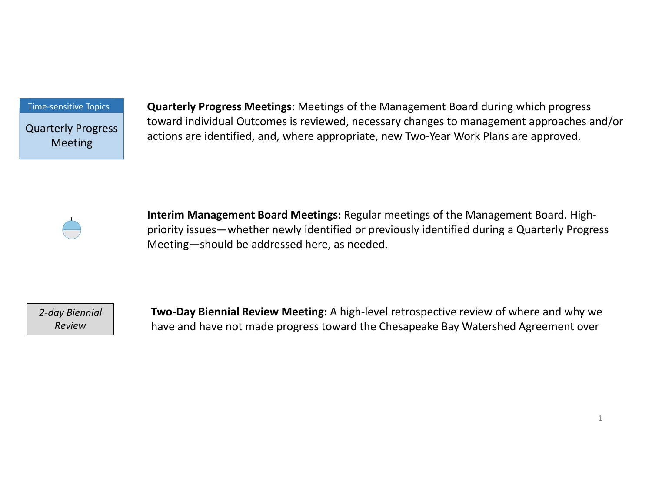Time-sensitive Topics

Quarterly Progress Meeting

Quarterly Progress Meetings: Meetings of the Management Board during which progress toward individual Outcomes is reviewed, necessary changes to management approaches and/or actions are identified, and, where appropriate, new Two-Year Work Plans are approved.



Interim Management Board Meetings: Regular meetings of the Management Board. Highpriority issues—whether newly identified or previously identified during a Quarterly Progress Meeting—should be addressed here, as needed.

2-day Biennial

Review Tamp and have not made progress toward the Chesapeake Bay Watershed Agreement over Two-Day Biennial Review Meeting: A high-level retrospective review of where and why we